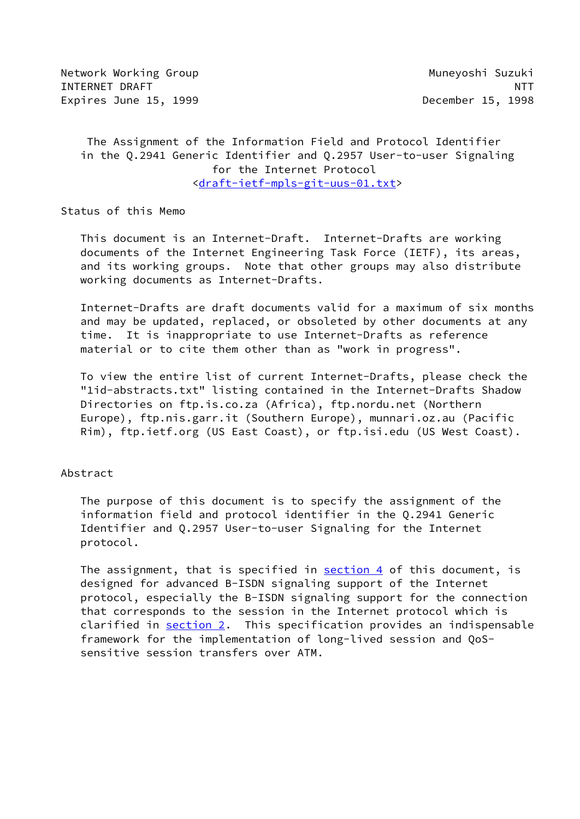Network Working Group Muneyoshi Suzuki INTERNET DRAFT NEWSLET AND RESERVE THE SERVE OF THE SERVE OF THE SERVE OF THE SERVE OF THE SERVE OF THE SERVE O Expires June 15, 1999 **December 15, 1998** 

 The Assignment of the Information Field and Protocol Identifier in the Q.2941 Generic Identifier and Q.2957 User-to-user Signaling for the Internet Protocol [<draft-ietf-mpls-git-uus-01.txt](https://datatracker.ietf.org/doc/pdf/draft-ietf-mpls-git-uus-01.txt)>

Status of this Memo

 This document is an Internet-Draft. Internet-Drafts are working documents of the Internet Engineering Task Force (IETF), its areas, and its working groups. Note that other groups may also distribute working documents as Internet-Drafts.

 Internet-Drafts are draft documents valid for a maximum of six months and may be updated, replaced, or obsoleted by other documents at any time. It is inappropriate to use Internet-Drafts as reference material or to cite them other than as "work in progress".

 To view the entire list of current Internet-Drafts, please check the "1id-abstracts.txt" listing contained in the Internet-Drafts Shadow Directories on ftp.is.co.za (Africa), ftp.nordu.net (Northern Europe), ftp.nis.garr.it (Southern Europe), munnari.oz.au (Pacific Rim), ftp.ietf.org (US East Coast), or ftp.isi.edu (US West Coast).

## Abstract

 The purpose of this document is to specify the assignment of the information field and protocol identifier in the Q.2941 Generic Identifier and Q.2957 User-to-user Signaling for the Internet protocol.

The assignment, that is specified in [section 4](#page-11-0) of this document, is designed for advanced B-ISDN signaling support of the Internet protocol, especially the B-ISDN signaling support for the connection that corresponds to the session in the Internet protocol which is clarified in [section 2](#page-2-0). This specification provides an indispensable framework for the implementation of long-lived session and QoS sensitive session transfers over ATM.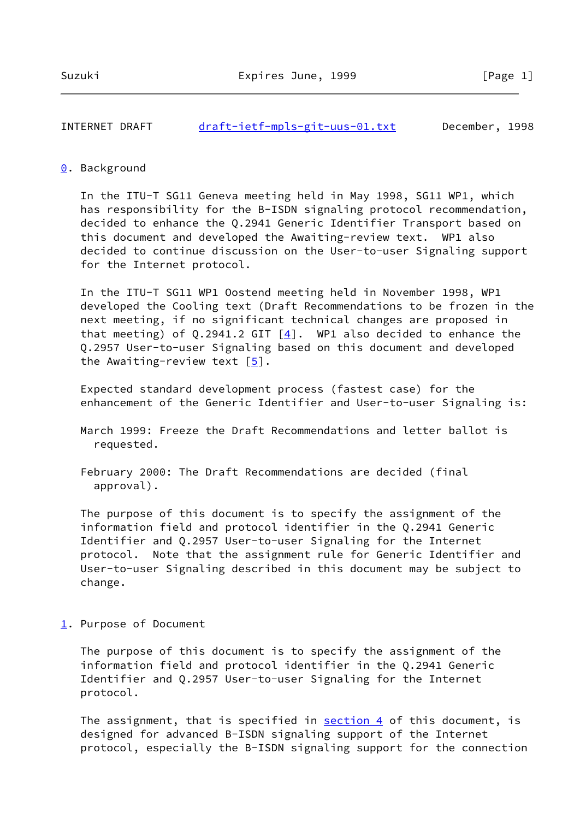## INTERNET DRAFT [draft-ietf-mpls-git-uus-01.txt](https://datatracker.ietf.org/doc/pdf/draft-ietf-mpls-git-uus-01.txt) December, 1998

#### <span id="page-1-0"></span>[0](#page-1-0). Background

 In the ITU-T SG11 Geneva meeting held in May 1998, SG11 WP1, which has responsibility for the B-ISDN signaling protocol recommendation, decided to enhance the Q.2941 Generic Identifier Transport based on this document and developed the Awaiting-review text. WP1 also decided to continue discussion on the User-to-user Signaling support for the Internet protocol.

 In the ITU-T SG11 WP1 Oostend meeting held in November 1998, WP1 developed the Cooling text (Draft Recommendations to be frozen in the next meeting, if no significant technical changes are proposed in that meeting) of Q.2941.2 GIT  $[4]$  $[4]$ . WP1 also decided to enhance the Q.2957 User-to-user Signaling based on this document and developed the Awaiting-review text  $\lceil 5 \rceil$ .

 Expected standard development process (fastest case) for the enhancement of the Generic Identifier and User-to-user Signaling is:

 March 1999: Freeze the Draft Recommendations and letter ballot is requested.

 February 2000: The Draft Recommendations are decided (final approval).

 The purpose of this document is to specify the assignment of the information field and protocol identifier in the Q.2941 Generic Identifier and Q.2957 User-to-user Signaling for the Internet protocol. Note that the assignment rule for Generic Identifier and User-to-user Signaling described in this document may be subject to change.

<span id="page-1-1"></span>[1](#page-1-1). Purpose of Document

 The purpose of this document is to specify the assignment of the information field and protocol identifier in the Q.2941 Generic Identifier and Q.2957 User-to-user Signaling for the Internet protocol.

The assignment, that is specified in **section 4** of this document, is designed for advanced B-ISDN signaling support of the Internet protocol, especially the B-ISDN signaling support for the connection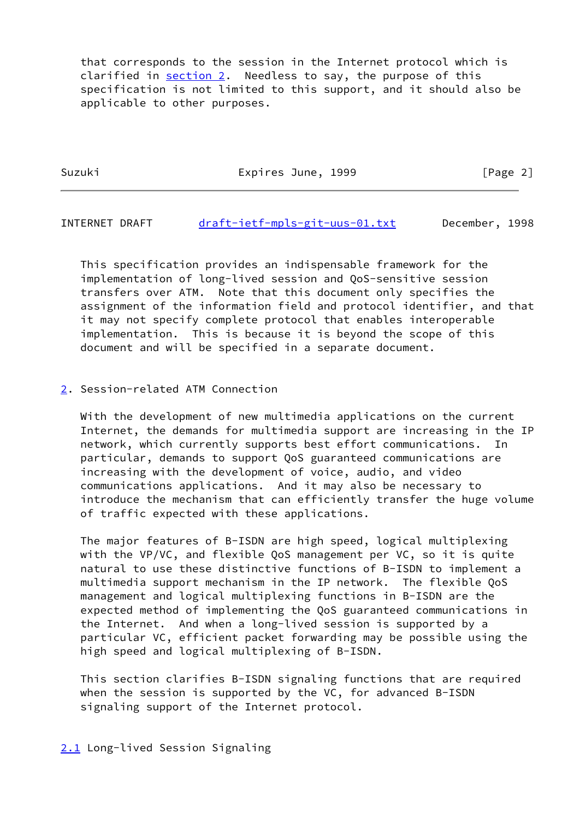that corresponds to the session in the Internet protocol which is clarified in [section 2](#page-2-0). Needless to say, the purpose of this specification is not limited to this support, and it should also be applicable to other purposes.

Suzuki Expires June, 1999 [Page 2]

INTERNET DRAFT [draft-ietf-mpls-git-uus-01.txt](https://datatracker.ietf.org/doc/pdf/draft-ietf-mpls-git-uus-01.txt) December, 1998

 This specification provides an indispensable framework for the implementation of long-lived session and QoS-sensitive session transfers over ATM. Note that this document only specifies the assignment of the information field and protocol identifier, and that it may not specify complete protocol that enables interoperable implementation. This is because it is beyond the scope of this document and will be specified in a separate document.

# <span id="page-2-0"></span>[2](#page-2-0). Session-related ATM Connection

 With the development of new multimedia applications on the current Internet, the demands for multimedia support are increasing in the IP network, which currently supports best effort communications. In particular, demands to support QoS guaranteed communications are increasing with the development of voice, audio, and video communications applications. And it may also be necessary to introduce the mechanism that can efficiently transfer the huge volume of traffic expected with these applications.

 The major features of B-ISDN are high speed, logical multiplexing with the VP/VC, and flexible QoS management per VC, so it is quite natural to use these distinctive functions of B-ISDN to implement a multimedia support mechanism in the IP network. The flexible QoS management and logical multiplexing functions in B-ISDN are the expected method of implementing the QoS guaranteed communications in the Internet. And when a long-lived session is supported by a particular VC, efficient packet forwarding may be possible using the high speed and logical multiplexing of B-ISDN.

 This section clarifies B-ISDN signaling functions that are required when the session is supported by the VC, for advanced B-ISDN signaling support of the Internet protocol.

## <span id="page-2-1"></span>[2.1](#page-2-1) Long-lived Session Signaling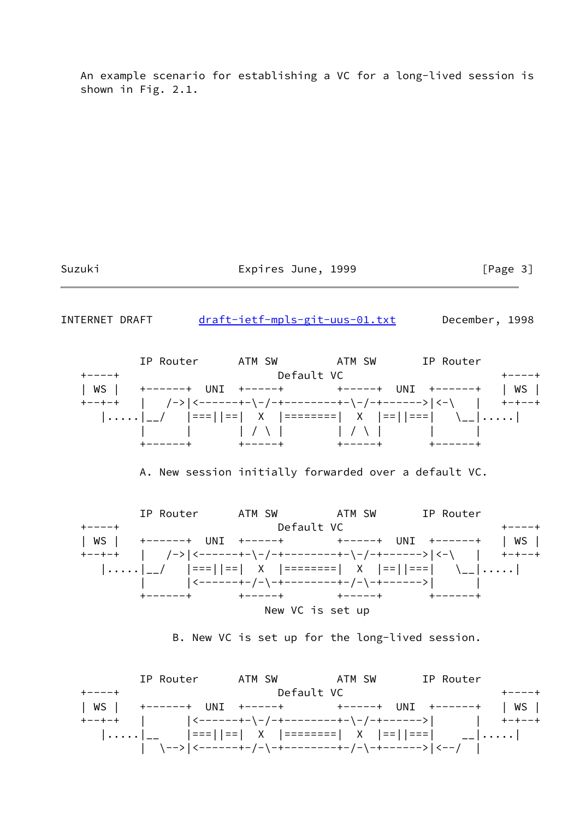An example scenario for establishing a VC for a long-lived session is shown in Fig. 2.1.

Suzuki **Expires June, 1999** [Page 3]

INTERNET DRAFT [draft-ietf-mpls-git-uus-01.txt](https://datatracker.ietf.org/doc/pdf/draft-ietf-mpls-git-uus-01.txt) December, 1998

 IP Router ATM SW ATM SW IP Router +----+ Default VC +----+ | WS | +------+ UNI +-----+ + +-----+ UNI +------+ | WS | +--+-+ | /->|<------+-\-/-+--------+-\-/-+------>|<-\ | +-+--+ |.....|\_\_/ |===||==| X |========| X |==||===| \\_\_|.....| | | | / \ | | / \ | | | +------+ +-----+ +-----+ +------+

A. New session initially forwarded over a default VC.



B. New VC is set up for the long-lived session.

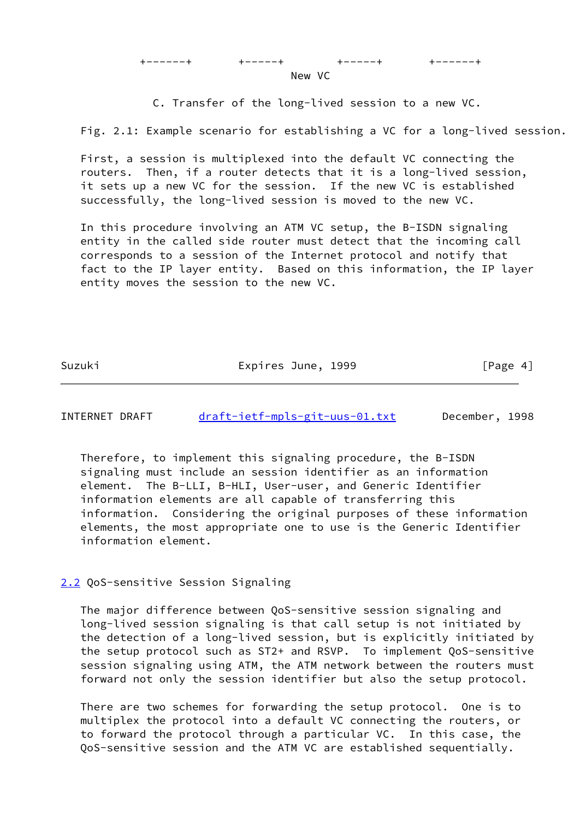C. Transfer of the long-lived session to a new VC.

Fig. 2.1: Example scenario for establishing a VC for a long-lived session.

 First, a session is multiplexed into the default VC connecting the routers. Then, if a router detects that it is a long-lived session, it sets up a new VC for the session. If the new VC is established successfully, the long-lived session is moved to the new VC.

 In this procedure involving an ATM VC setup, the B-ISDN signaling entity in the called side router must detect that the incoming call corresponds to a session of the Internet protocol and notify that fact to the IP layer entity. Based on this information, the IP layer entity moves the session to the new VC.

Suzuki Expires June, 1999 [Page 4]

INTERNET DRAFT [draft-ietf-mpls-git-uus-01.txt](https://datatracker.ietf.org/doc/pdf/draft-ietf-mpls-git-uus-01.txt) December, 1998

 Therefore, to implement this signaling procedure, the B-ISDN signaling must include an session identifier as an information element. The B-LLI, B-HLI, User-user, and Generic Identifier information elements are all capable of transferring this information. Considering the original purposes of these information elements, the most appropriate one to use is the Generic Identifier information element.

<span id="page-4-0"></span>[2.2](#page-4-0) QoS-sensitive Session Signaling

 The major difference between QoS-sensitive session signaling and long-lived session signaling is that call setup is not initiated by the detection of a long-lived session, but is explicitly initiated by the setup protocol such as ST2+ and RSVP. To implement QoS-sensitive session signaling using ATM, the ATM network between the routers must forward not only the session identifier but also the setup protocol.

 There are two schemes for forwarding the setup protocol. One is to multiplex the protocol into a default VC connecting the routers, or to forward the protocol through a particular VC. In this case, the QoS-sensitive session and the ATM VC are established sequentially.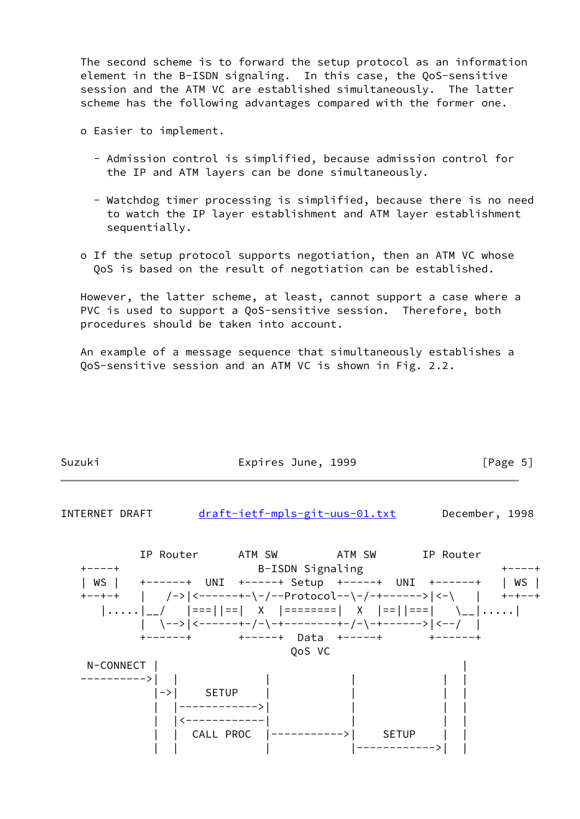The second scheme is to forward the setup protocol as an information element in the B-ISDN signaling. In this case, the QoS-sensitive session and the ATM VC are established simultaneously. The latter scheme has the following advantages compared with the former one.

- o Easier to implement.
	- Admission control is simplified, because admission control for the IP and ATM layers can be done simultaneously.
	- Watchdog timer processing is simplified, because there is no need to watch the IP layer establishment and ATM layer establishment sequentially.
- o If the setup protocol supports negotiation, then an ATM VC whose QoS is based on the result of negotiation can be established.

 However, the latter scheme, at least, cannot support a case where a PVC is used to support a QoS-sensitive session. Therefore, both procedures should be taken into account.

 An example of a message sequence that simultaneously establishes a QoS-sensitive session and an ATM VC is shown in Fig. 2.2.

| Suzuki | Expires June, 1999 | [Page 5] |
|--------|--------------------|----------|

INTERNET DRAFT [draft-ietf-mpls-git-uus-01.txt](https://datatracker.ietf.org/doc/pdf/draft-ietf-mpls-git-uus-01.txt) December, 1998

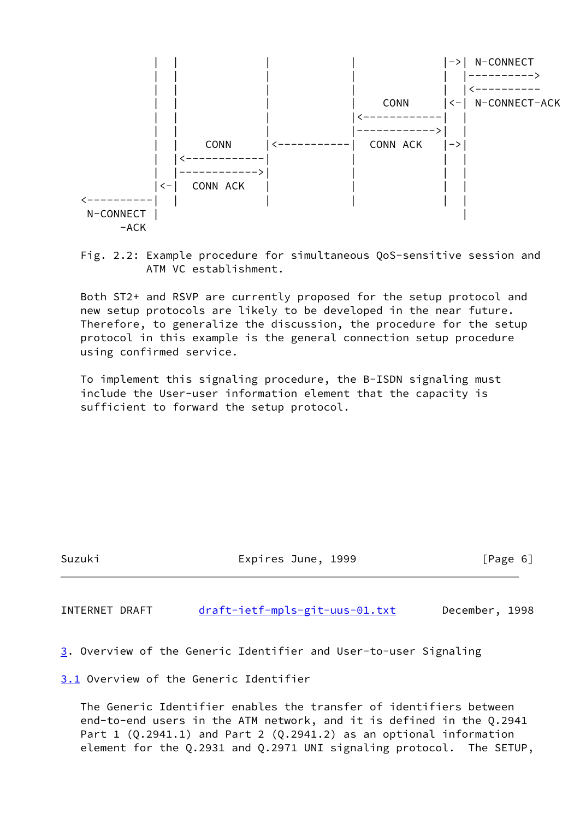

 Fig. 2.2: Example procedure for simultaneous QoS-sensitive session and ATM VC establishment.

 Both ST2+ and RSVP are currently proposed for the setup protocol and new setup protocols are likely to be developed in the near future. Therefore, to generalize the discussion, the procedure for the setup protocol in this example is the general connection setup procedure using confirmed service.

 To implement this signaling procedure, the B-ISDN signaling must include the User-user information element that the capacity is sufficient to forward the setup protocol.

Suzuki Expires June, 1999 [Page 6]

INTERNET DRAFT [draft-ietf-mpls-git-uus-01.txt](https://datatracker.ietf.org/doc/pdf/draft-ietf-mpls-git-uus-01.txt) December, 1998

<span id="page-6-0"></span>[3](#page-6-0). Overview of the Generic Identifier and User-to-user Signaling

<span id="page-6-1"></span>[3.1](#page-6-1) Overview of the Generic Identifier

 The Generic Identifier enables the transfer of identifiers between end-to-end users in the ATM network, and it is defined in the Q.2941 Part 1 (Q.2941.1) and Part 2 (Q.2941.2) as an optional information element for the Q.2931 and Q.2971 UNI signaling protocol. The SETUP,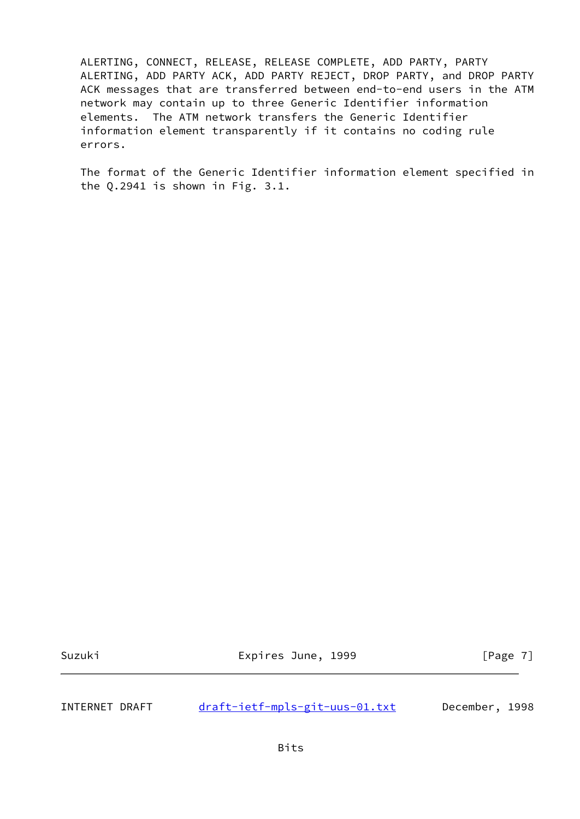ALERTING, CONNECT, RELEASE, RELEASE COMPLETE, ADD PARTY, PARTY ALERTING, ADD PARTY ACK, ADD PARTY REJECT, DROP PARTY, and DROP PARTY ACK messages that are transferred between end-to-end users in the ATM network may contain up to three Generic Identifier information elements. The ATM network transfers the Generic Identifier information element transparently if it contains no coding rule errors.

 The format of the Generic Identifier information element specified in the Q.2941 is shown in Fig. 3.1.

Suzuki **Expires June, 1999** [Page 7]

INTERNET DRAFT [draft-ietf-mpls-git-uus-01.txt](https://datatracker.ietf.org/doc/pdf/draft-ietf-mpls-git-uus-01.txt) December, 1998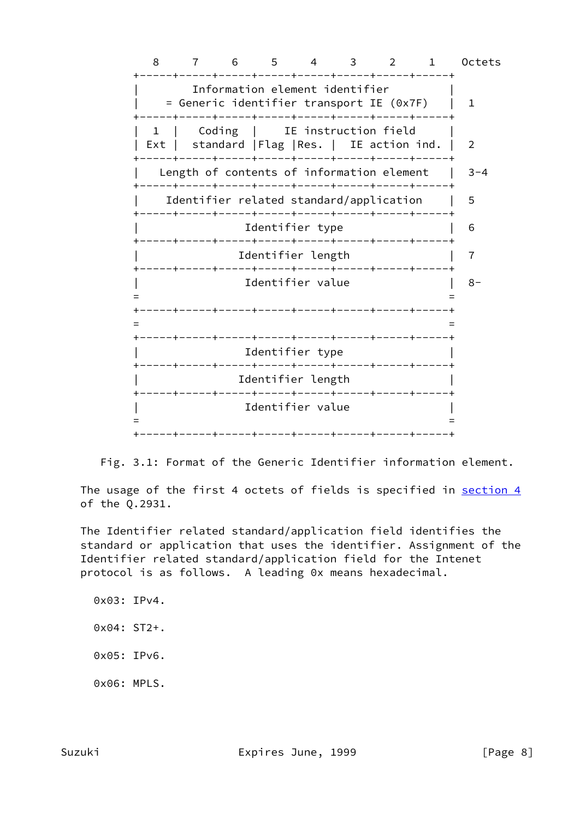8 7 6 5 4 3 2 1 Octets +-----+-----+-----+-----+-----+-----+-----+-----+ Information element identifier | = Generic identifier transport IE (0x7F) | 1 +-----+-----+-----+-----+-----+-----+-----+-----+ 1 | Coding | IE instruction field | Ext | standard | Flag | Res. | IE action ind. | 2 +-----+-----+-----+-----+-----+-----+-----+-----+ | Length of contents of information element | 3-4 +-----+-----+-----+-----+-----+-----+-----+-----+ Identifier related standard/application | 5 +-----+-----+-----+-----+-----+-----+-----+-----+ Identifier type  $| 6$  +-----+-----+-----+-----+-----+-----+-----+-----+ | Identifier length | 7 +-----+-----+-----+-----+-----+-----+-----+-----+ | Identifier value | 8- = = +-----+-----+-----+-----+-----+-----+-----+-----+ = = +-----+-----+-----+-----+-----+-----+-----+-----+ Identifier type +-----+-----+-----+-----+-----+-----+-----+-----+ Identifier length +-----+-----+-----+-----+-----+-----+-----+-----+ | Identifier value | = = +-----+-----+-----+-----+-----+-----+-----+-----+



The usage of the first 4 octets of fields is specified in [section 4](#page-11-0) of the Q.2931.

 The Identifier related standard/application field identifies the standard or application that uses the identifier. Assignment of the Identifier related standard/application field for the Intenet protocol is as follows. A leading 0x means hexadecimal.

 0x03: IPv4. 0x04: ST2+. 0x05: IPv6. 0x06: MPLS.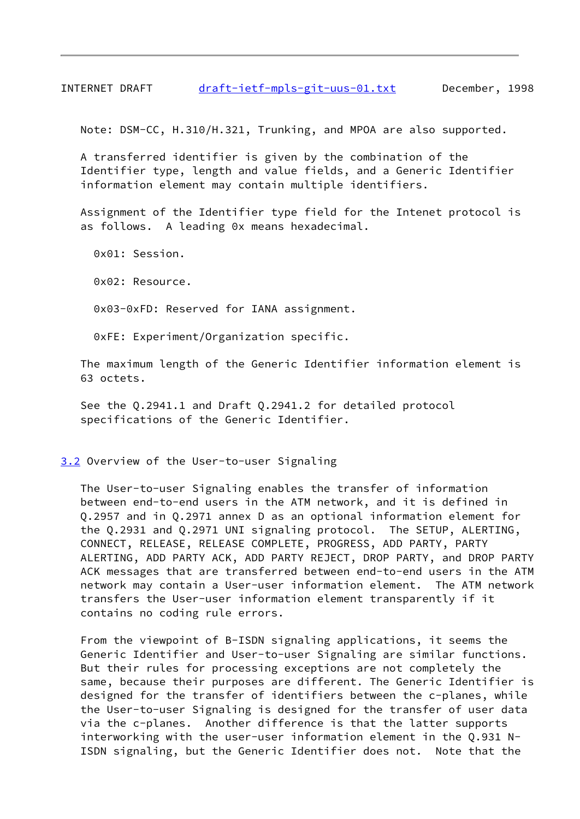INTERNET DRAFT [draft-ietf-mpls-git-uus-01.txt](https://datatracker.ietf.org/doc/pdf/draft-ietf-mpls-git-uus-01.txt) December, 1998

Note: DSM-CC, H.310/H.321, Trunking, and MPOA are also supported.

 A transferred identifier is given by the combination of the Identifier type, length and value fields, and a Generic Identifier information element may contain multiple identifiers.

 Assignment of the Identifier type field for the Intenet protocol is as follows. A leading 0x means hexadecimal.

0x01: Session.

0x02: Resource.

0x03-0xFD: Reserved for IANA assignment.

0xFE: Experiment/Organization specific.

 The maximum length of the Generic Identifier information element is 63 octets.

 See the Q.2941.1 and Draft Q.2941.2 for detailed protocol specifications of the Generic Identifier.

<span id="page-9-0"></span>[3.2](#page-9-0) Overview of the User-to-user Signaling

 The User-to-user Signaling enables the transfer of information between end-to-end users in the ATM network, and it is defined in Q.2957 and in Q.2971 annex D as an optional information element for the Q.2931 and Q.2971 UNI signaling protocol. The SETUP, ALERTING, CONNECT, RELEASE, RELEASE COMPLETE, PROGRESS, ADD PARTY, PARTY ALERTING, ADD PARTY ACK, ADD PARTY REJECT, DROP PARTY, and DROP PARTY ACK messages that are transferred between end-to-end users in the ATM network may contain a User-user information element. The ATM network transfers the User-user information element transparently if it contains no coding rule errors.

 From the viewpoint of B-ISDN signaling applications, it seems the Generic Identifier and User-to-user Signaling are similar functions. But their rules for processing exceptions are not completely the same, because their purposes are different. The Generic Identifier is designed for the transfer of identifiers between the c-planes, while the User-to-user Signaling is designed for the transfer of user data via the c-planes. Another difference is that the latter supports interworking with the user-user information element in the Q.931 N- ISDN signaling, but the Generic Identifier does not. Note that the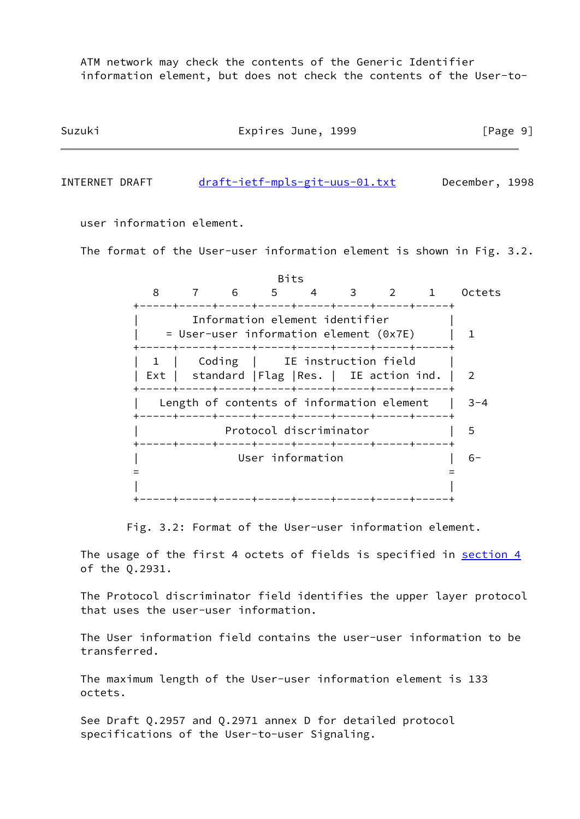ATM network may check the contents of the Generic Identifier information element, but does not check the contents of the User-to-

| Suzuki | Expires June, 1999 | [Page 9] |  |
|--------|--------------------|----------|--|
|        |                    |          |  |

INTERNET DRAFT [draft-ietf-mpls-git-uus-01.txt](https://datatracker.ietf.org/doc/pdf/draft-ietf-mpls-git-uus-01.txt) December, 1998

user information element.

The format of the User-user information element is shown in Fig. 3.2.

<u>Bits and the contract of the Bits</u> 8 7 6 5 4 3 2 1 Octets +-----+-----+-----+-----+-----+-----+-----+-----+ Information element identifier  $=$  User-user information element (0x7E) | 1 +-----+-----+-----+-----+-----+-----+-----+-----+ | 1 | Coding | IE instruction field | Ext | standard | Flag | Res. | IE action ind. | 2 +-----+-----+-----+-----+-----+-----+-----+-----+ | Length of contents of information element | 3-4 +-----+-----+-----+-----+-----+-----+-----+-----+ Protocol discriminator | 5 +-----+-----+-----+-----+-----+-----+-----+-----+ | User information | 6- = = | | +-----+-----+-----+-----+-----+-----+-----+-----+

Fig. 3.2: Format of the User-user information element.

The usage of the first 4 octets of fields is specified in [section 4](#page-11-0) of the Q.2931.

 The Protocol discriminator field identifies the upper layer protocol that uses the user-user information.

 The User information field contains the user-user information to be transferred.

 The maximum length of the User-user information element is 133 octets.

 See Draft Q.2957 and Q.2971 annex D for detailed protocol specifications of the User-to-user Signaling.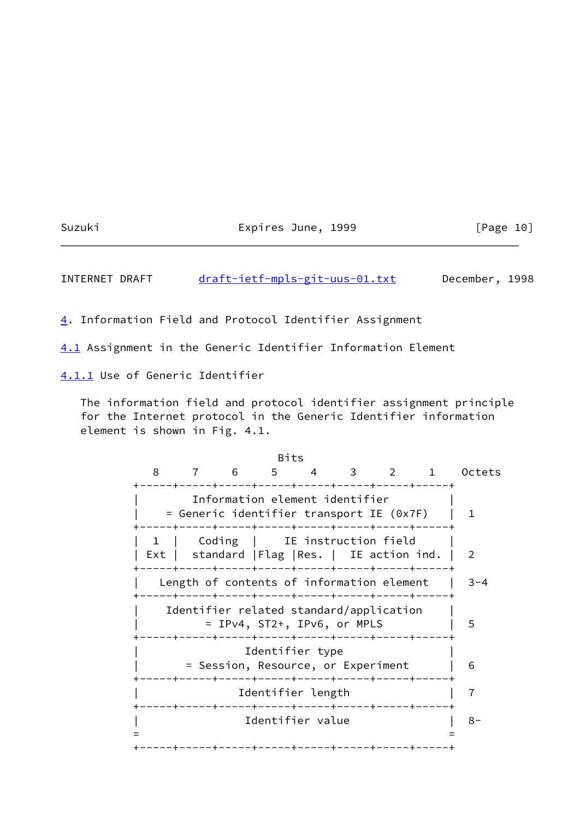Suzuki Expires June, 1999 [Page 10]

INTERNET DRAFT [draft-ietf-mpls-git-uus-01.txt](https://datatracker.ietf.org/doc/pdf/draft-ietf-mpls-git-uus-01.txt) December, 1998

<span id="page-11-0"></span>[4](#page-11-0). Information Field and Protocol Identifier Assignment

<span id="page-11-1"></span>[4.1](#page-11-1) Assignment in the Generic Identifier Information Element

<span id="page-11-2"></span>[4.1.1](#page-11-2) Use of Generic Identifier

 The information field and protocol identifier assignment principle for the Internet protocol in the Generic Identifier information element is shown in Fig. 4.1.

<u>Bits and the contract of the Bits</u> 8 7 6 5 4 3 2 1 Octets +-----+-----+-----+-----+-----+-----+-----+-----+ Information element identifier | = Generic identifier transport IE (0x7F) | 1 +-----+-----+-----+-----+-----+-----+-----+-----+ 1 | Coding | IE instruction field | Ext | standard | Flag | Res. | IE action ind. | 2 +-----+-----+-----+-----+-----+-----+-----+-----+ Length of contents of information element | 3-4 +-----+-----+-----+-----+-----+-----+-----+-----+ Identifier related standard/application | = IPv4, ST2+, IPv6, or MPLS | 5 +-----+-----+-----+-----+-----+-----+-----+-----+ Identifier type | = Session, Resource, or Experiment | 6 +-----+-----+-----+-----+-----+-----+-----+-----+ | Identifier length | 7 +-----+-----+-----+-----+-----+-----+-----+-----+ | Identifier value | 8- = = +-----+-----+-----+-----+-----+-----+-----+-----+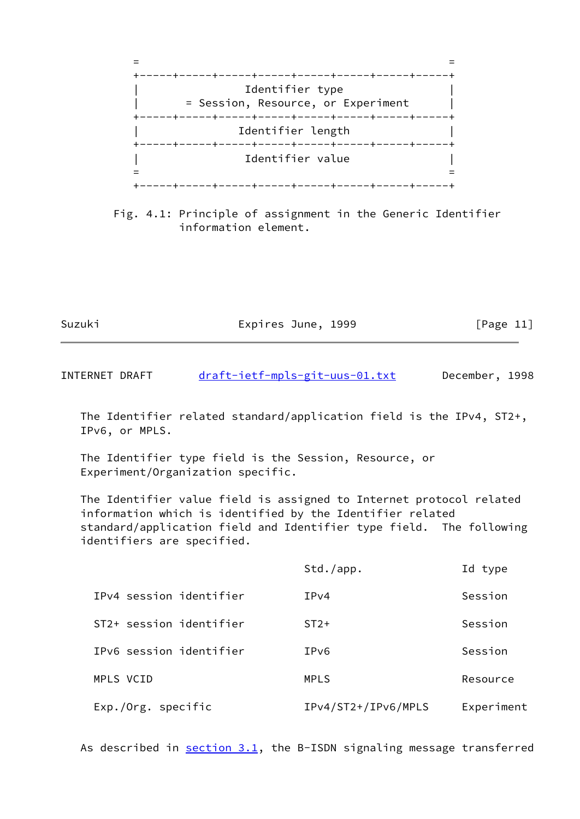

 Fig. 4.1: Principle of assignment in the Generic Identifier information element.

Suzuki Expires June, 1999 [Page 11]

INTERNET DRAFT [draft-ietf-mpls-git-uus-01.txt](https://datatracker.ietf.org/doc/pdf/draft-ietf-mpls-git-uus-01.txt) December, 1998

 The Identifier related standard/application field is the IPv4, ST2+, IPv6, or MPLS.

 The Identifier type field is the Session, Resource, or Experiment/Organization specific.

 The Identifier value field is assigned to Internet protocol related information which is identified by the Identifier related standard/application field and Identifier type field. The following identifiers are specified.

|                         | Std./app.           | Id type    |
|-------------------------|---------------------|------------|
| IPv4 session identifier | IPv4                | Session    |
| ST2+ session identifier | $ST2+$              | Session    |
| IPv6 session identifier | IPv6                | Session    |
| MPLS VCID               | <b>MPLS</b>         | Resource   |
| Exp./Org. specific      | IPv4/ST2+/IPv6/MPLS | Experiment |

As described in  $section 3.1$ , the B-ISDN signaling message transferred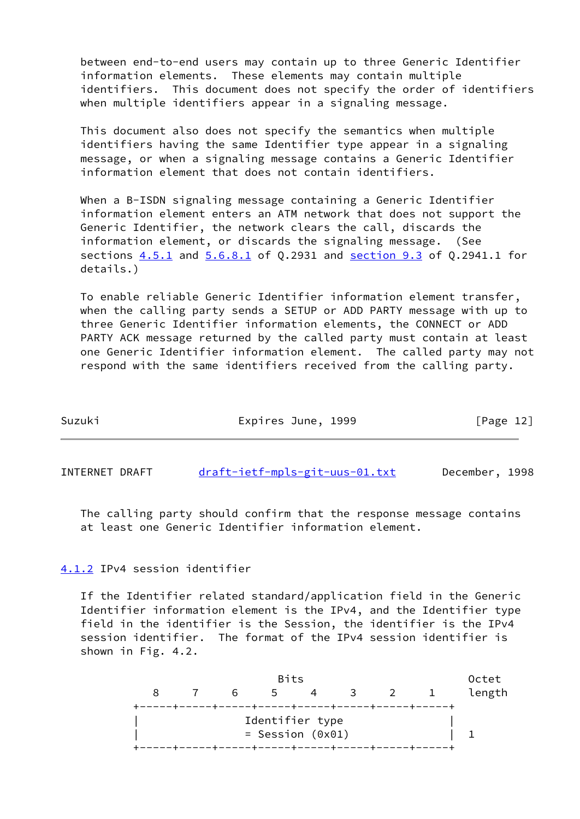between end-to-end users may contain up to three Generic Identifier information elements. These elements may contain multiple identifiers. This document does not specify the order of identifiers when multiple identifiers appear in a signaling message.

 This document also does not specify the semantics when multiple identifiers having the same Identifier type appear in a signaling message, or when a signaling message contains a Generic Identifier information element that does not contain identifiers.

When a B-ISDN signaling message containing a Generic Identifier information element enters an ATM network that does not support the Generic Identifier, the network clears the call, discards the information element, or discards the signaling message. (See sections  $4.5.1$  and  $5.6.8.1$  of Q.2931 and section 9.3 of Q.2941.1 for details.)

 To enable reliable Generic Identifier information element transfer, when the calling party sends a SETUP or ADD PARTY message with up to three Generic Identifier information elements, the CONNECT or ADD PARTY ACK message returned by the called party must contain at least one Generic Identifier information element. The called party may not respond with the same identifiers received from the calling party.

| Suzuki | Expires June, 1999 |  | [Page 12] |
|--------|--------------------|--|-----------|
|        |                    |  |           |

INTERNET DRAFT [draft-ietf-mpls-git-uus-01.txt](https://datatracker.ietf.org/doc/pdf/draft-ietf-mpls-git-uus-01.txt) December, 1998

 The calling party should confirm that the response message contains at least one Generic Identifier information element.

## <span id="page-13-0"></span>[4.1.2](#page-13-0) IPv4 session identifier

 If the Identifier related standard/application field in the Generic Identifier information element is the IPv4, and the Identifier type field in the identifier is the Session, the identifier is the IPv4 session identifier. The format of the IPv4 session identifier is shown in Fig. 4.2.

| <b>Bits</b> |  |    |                    |  | Octet |  |        |
|-------------|--|----|--------------------|--|-------|--|--------|
|             |  | 6. | .5                 |  | 3 2   |  | length |
|             |  |    |                    |  |       |  |        |
|             |  |    | Identifier type    |  |       |  |        |
|             |  |    | $=$ Session (0x01) |  |       |  |        |
|             |  |    |                    |  |       |  |        |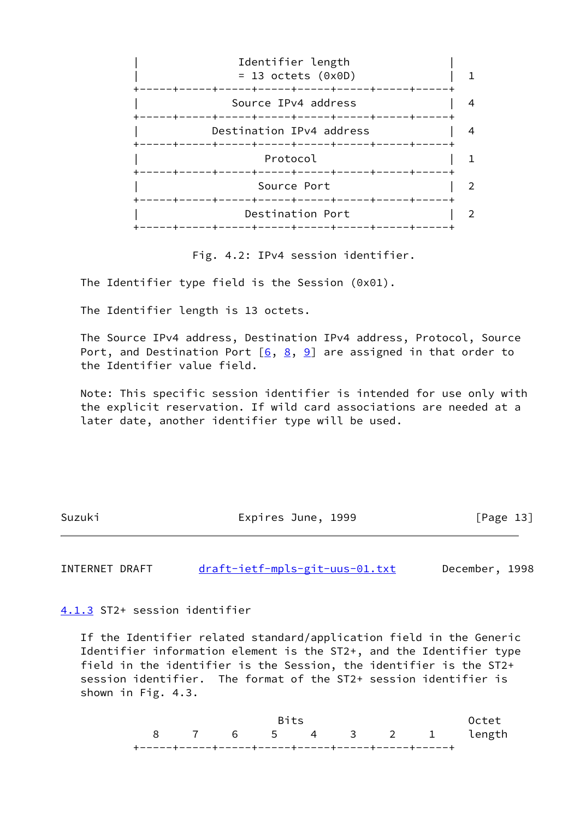

Fig. 4.2: IPv4 session identifier.

The Identifier type field is the Session (0x01).

The Identifier length is 13 octets.

 The Source IPv4 address, Destination IPv4 address, Protocol, Source Port, and Destination Port  $[6, 8, 9]$  $[6, 8, 9]$  $[6, 8, 9]$  $[6, 8, 9]$  $[6, 8, 9]$  are assigned in that order to the Identifier value field.

 Note: This specific session identifier is intended for use only with the explicit reservation. If wild card associations are needed at a later date, another identifier type will be used.

Suzuki **Expires June, 1999** [Page 13]

INTERNET DRAFT [draft-ietf-mpls-git-uus-01.txt](https://datatracker.ietf.org/doc/pdf/draft-ietf-mpls-git-uus-01.txt) December, 1998

<span id="page-14-0"></span>[4.1.3](#page-14-0) ST2+ session identifier

 If the Identifier related standard/application field in the Generic Identifier information element is the ST2+, and the Identifier type field in the identifier is the Session, the identifier is the ST2+ session identifier. The format of the ST2+ session identifier is shown in Fig. 4.3.

| <b>Rits</b> |  |  |  |  |  | Octet                  |  |
|-------------|--|--|--|--|--|------------------------|--|
|             |  |  |  |  |  | 8 7 6 5 4 3 2 1 length |  |
|             |  |  |  |  |  |                        |  |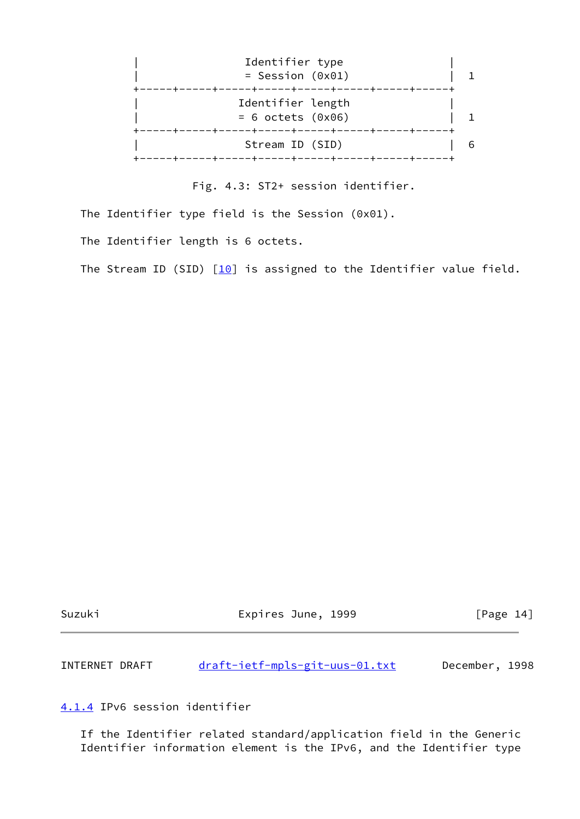

Fig. 4.3: ST2+ session identifier.

The Identifier type field is the Session (0x01).

The Identifier length is 6 octets.

The Stream ID (SID)  $[10]$  is assigned to the Identifier value field.

Suzuki **Expires June, 1999** [Page 14]

INTERNET DRAFT [draft-ietf-mpls-git-uus-01.txt](https://datatracker.ietf.org/doc/pdf/draft-ietf-mpls-git-uus-01.txt) December, 1998

<span id="page-15-0"></span>[4.1.4](#page-15-0) IPv6 session identifier

 If the Identifier related standard/application field in the Generic Identifier information element is the IPv6, and the Identifier type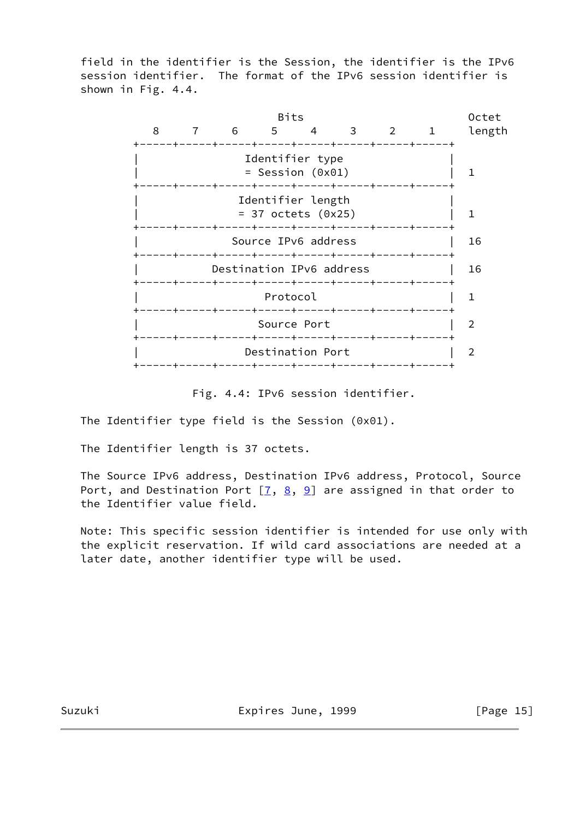field in the identifier is the Session, the identifier is the IPv6 session identifier. The format of the IPv6 session identifier is shown in Fig. 4.4.



Fig. 4.4: IPv6 session identifier.

The Identifier type field is the Session (0x01).

The Identifier length is 37 octets.

 The Source IPv6 address, Destination IPv6 address, Protocol, Source Port, and Destination Port  $[7, 8, 9]$  $[7, 8, 9]$  $[7, 8, 9]$  $[7, 8, 9]$  $[7, 8, 9]$  are assigned in that order to the Identifier value field.

 Note: This specific session identifier is intended for use only with the explicit reservation. If wild card associations are needed at a later date, another identifier type will be used.

Suzuki Expires June, 1999 [Page 15]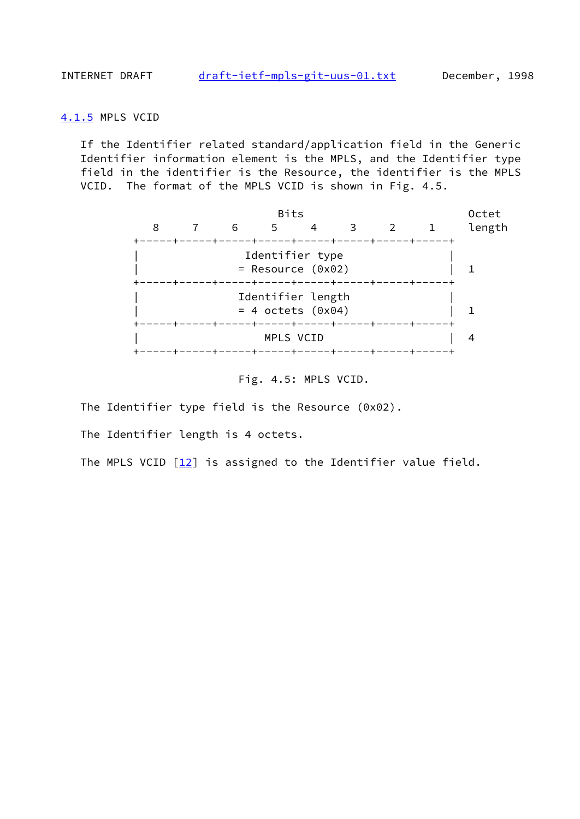#### <span id="page-17-0"></span>[4.1.5](#page-17-0) MPLS VCID

 If the Identifier related standard/application field in the Generic Identifier information element is the MPLS, and the Identifier type field in the identifier is the Resource, the identifier is the MPLS VCID. The format of the MPLS VCID is shown in Fig. 4.5.



Fig. 4.5: MPLS VCID.

The Identifier type field is the Resource (0x02).

The Identifier length is 4 octets.

The MPLS VCID  $\lceil 12 \rceil$  is assigned to the Identifier value field.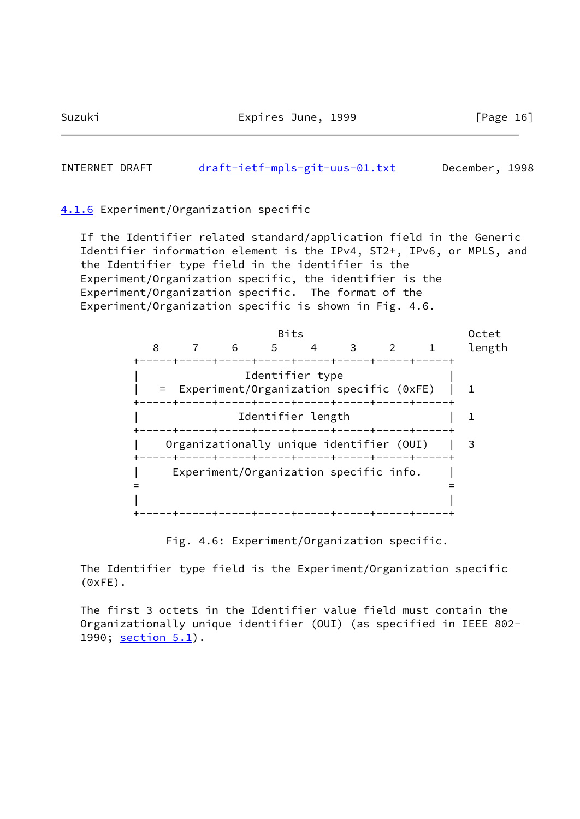Suzuki Expires June, 1999 [Page 16]

INTERNET DRAFT [draft-ietf-mpls-git-uus-01.txt](https://datatracker.ietf.org/doc/pdf/draft-ietf-mpls-git-uus-01.txt) December, 1998

<span id="page-18-0"></span>[4.1.6](#page-18-0) Experiment/Organization specific

 If the Identifier related standard/application field in the Generic Identifier information element is the IPv4, ST2+, IPv6, or MPLS, and the Identifier type field in the identifier is the Experiment/Organization specific, the identifier is the Experiment/Organization specific. The format of the Experiment/Organization specific is shown in Fig. 4.6.



Fig. 4.6: Experiment/Organization specific.

 The Identifier type field is the Experiment/Organization specific  $(0xFE)$ .

 The first 3 octets in the Identifier value field must contain the Organizationally unique identifier (OUI) (as specified in IEEE 802- 1990; section 5.1).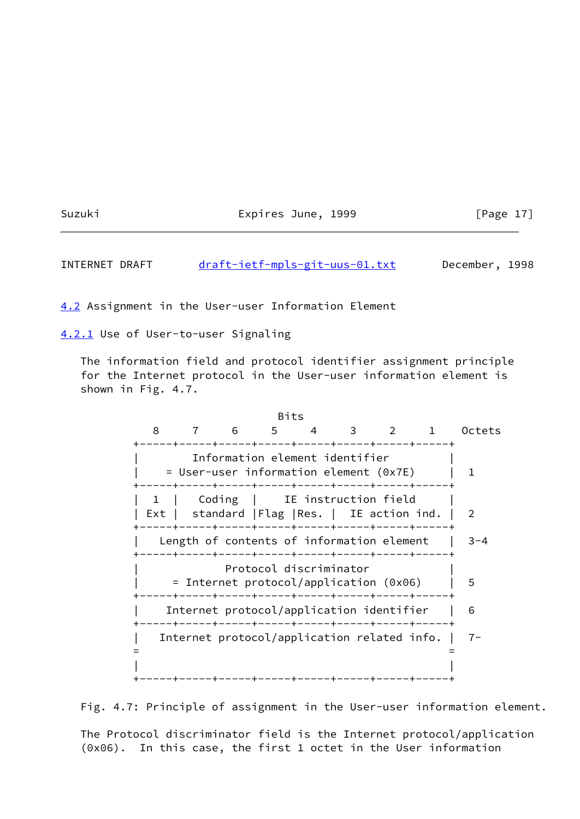Suzuki **Expires June, 1999** [Page 17]

INTERNET DRAFT [draft-ietf-mpls-git-uus-01.txt](https://datatracker.ietf.org/doc/pdf/draft-ietf-mpls-git-uus-01.txt) December, 1998

<span id="page-19-0"></span>[4.2](#page-19-0) Assignment in the User-user Information Element

<span id="page-19-1"></span>[4.2.1](#page-19-1) Use of User-to-user Signaling

 The information field and protocol identifier assignment principle for the Internet protocol in the User-user information element is shown in Fig. 4.7.

<u>Bits and the contract of the Bits</u> 8 7 6 5 4 3 2 1 Octets +-----+-----+-----+-----+-----+-----+-----+-----+ Information element identifier  $=$  User-user information element (0x7E) | 1 +-----+-----+-----+-----+-----+-----+-----+-----+ 1 | Coding | IE instruction field Ext | standard | Flag | Res. | IE action ind. | 2 +-----+-----+-----+-----+-----+-----+-----+-----+ Length of contents of information element  $|$  3-4 +-----+-----+-----+-----+-----+-----+-----+-----+ Protocol discriminator | = Internet protocol/application (0x06) | 5 +-----+-----+-----+-----+-----+-----+-----+-----+ | Internet protocol/application identifier | 6 +-----+-----+-----+-----+-----+-----+-----+-----+ | Internet protocol/application related info. | 7- = = | | +-----+-----+-----+-----+-----+-----+-----+-----+

Fig. 4.7: Principle of assignment in the User-user information element.

 The Protocol discriminator field is the Internet protocol/application (0x06). In this case, the first 1 octet in the User information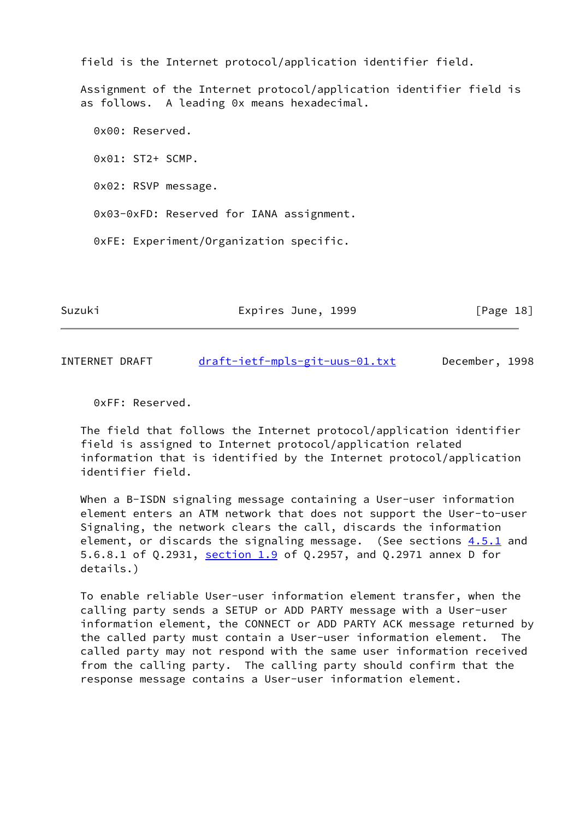field is the Internet protocol/application identifier field.

 Assignment of the Internet protocol/application identifier field is as follows. A leading 0x means hexadecimal.

 0x00: Reserved. 0x01: ST2+ SCMP. 0x02: RSVP message. 0x03-0xFD: Reserved for IANA assignment. 0xFE: Experiment/Organization specific.

Suzuki Expires June, 1999 [Page 18]

INTERNET DRAFT [draft-ietf-mpls-git-uus-01.txt](https://datatracker.ietf.org/doc/pdf/draft-ietf-mpls-git-uus-01.txt) December, 1998

0xFF: Reserved.

 The field that follows the Internet protocol/application identifier field is assigned to Internet protocol/application related information that is identified by the Internet protocol/application identifier field.

When a B-ISDN signaling message containing a User-user information element enters an ATM network that does not support the User-to-user Signaling, the network clears the call, discards the information element, or discards the signaling message. (See sections  $4.5.1$  and 5.6.8.1 of Q.2931, section 1.9 of Q.2957, and Q.2971 annex D for details.)

 To enable reliable User-user information element transfer, when the calling party sends a SETUP or ADD PARTY message with a User-user information element, the CONNECT or ADD PARTY ACK message returned by the called party must contain a User-user information element. The called party may not respond with the same user information received from the calling party. The calling party should confirm that the response message contains a User-user information element.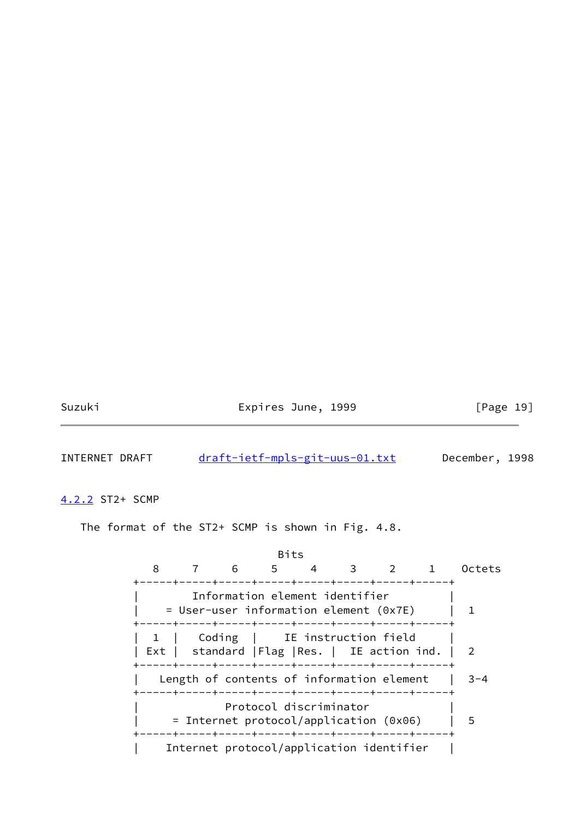Suzuki **Expires June, 1999** [Page 19]

INTERNET DRAFT [draft-ietf-mpls-git-uus-01.txt](https://datatracker.ietf.org/doc/pdf/draft-ietf-mpls-git-uus-01.txt) December, 1998

<span id="page-21-0"></span>[4.2.2](#page-21-0) ST2+ SCMP

The format of the ST2+ SCMP is shown in Fig. 4.8.

<u>Bits and the second second second second second second second second second second second second second second second second second second second second second second second second second second second second second secon</u> 8 7 6 5 4 3 2 1 Octets +-----+-----+-----+-----+-----+-----+-----+-----+ Information element identifier  $=$  User-user information element (0x7E) | 1 +-----+-----+-----+-----+-----+-----+-----+-----+ 1 | Coding | IE instruction field | Ext | standard |Flag |Res. | IE action ind. | 2 +-----+-----+-----+-----+-----+-----+-----+-----+ Length of contents of information element  $|$  3-4 +-----+-----+-----+-----+-----+-----+-----+-----+ Protocol discriminator | = Internet protocol/application (0x06) | 5 +-----+-----+-----+-----+-----+-----+-----+-----+ | Internet protocol/application identifier |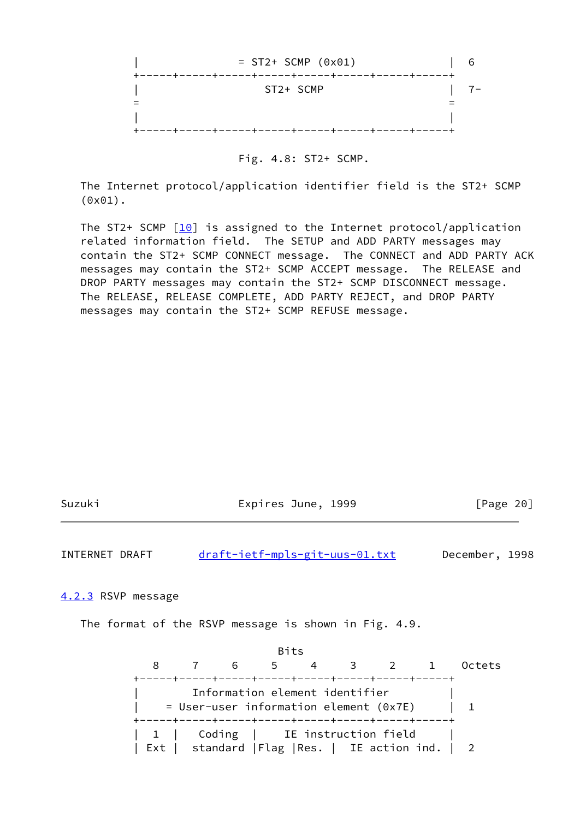

Fig. 4.8: ST2+ SCMP.

 The Internet protocol/application identifier field is the ST2+ SCMP (0x01).

The ST2+ SCMP  $[10]$  $[10]$  is assigned to the Internet protocol/application related information field. The SETUP and ADD PARTY messages may contain the ST2+ SCMP CONNECT message. The CONNECT and ADD PARTY ACK messages may contain the ST2+ SCMP ACCEPT message. The RELEASE and DROP PARTY messages may contain the ST2+ SCMP DISCONNECT message. The RELEASE, RELEASE COMPLETE, ADD PARTY REJECT, and DROP PARTY messages may contain the ST2+ SCMP REFUSE message.

| 11711K |  |
|--------|--|
|        |  |

Expires June, 1999 [Page 20]

INTERNET DRAFT [draft-ietf-mpls-git-uus-01.txt](https://datatracker.ietf.org/doc/pdf/draft-ietf-mpls-git-uus-01.txt) December, 1998

<span id="page-22-0"></span>[4.2.3](#page-22-0) RSVP message

The format of the RSVP message is shown in Fig. 4.9.

 Bits 8 7 6 5 4 3 2 1 Octets +-----+-----+-----+-----+-----+-----+-----+-----+ Information element identifier  $=$  User-user information element (0x7E) | 1 +-----+-----+-----+-----+-----+-----+-----+-----+ 1 | Coding | IE instruction field | Ext | standard |Flag |Res. | IE action ind. | 2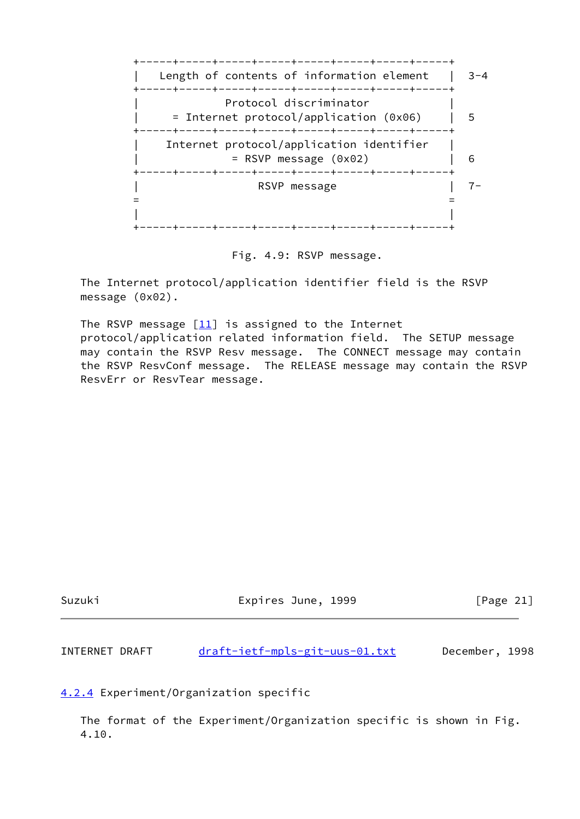

Fig. 4.9: RSVP message.

 The Internet protocol/application identifier field is the RSVP message (0x02).

The RSVP message  $[11]$  is assigned to the Internet protocol/application related information field. The SETUP message may contain the RSVP Resv message. The CONNECT message may contain the RSVP ResvConf message. The RELEASE message may contain the RSVP ResvErr or ResvTear message.

| Suzuki | Expires June, 1999 | [Page 21] |
|--------|--------------------|-----------|
|        |                    |           |

INTERNET DRAFT [draft-ietf-mpls-git-uus-01.txt](https://datatracker.ietf.org/doc/pdf/draft-ietf-mpls-git-uus-01.txt) December, 1998

<span id="page-23-0"></span>[4.2.4](#page-23-0) Experiment/Organization specific

 The format of the Experiment/Organization specific is shown in Fig. 4.10.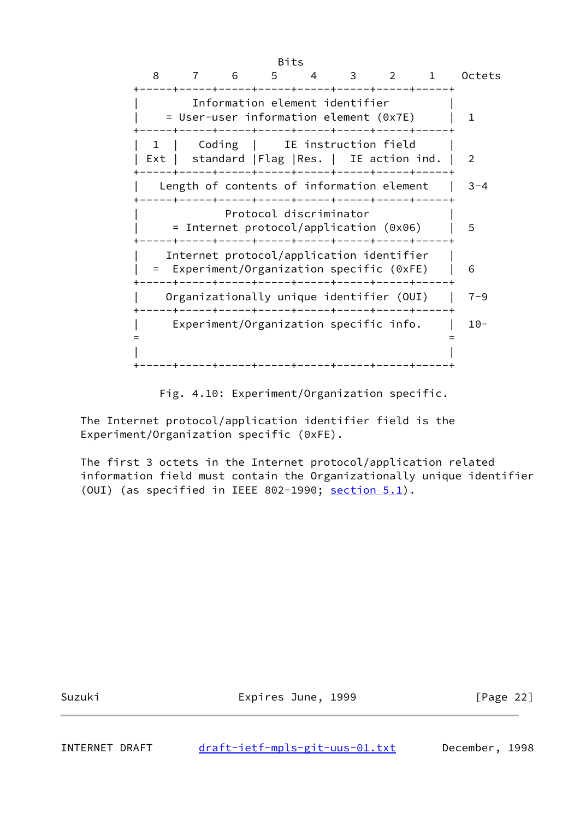

Fig. 4.10: Experiment/Organization specific.

 The Internet protocol/application identifier field is the Experiment/Organization specific (0xFE).

 The first 3 octets in the Internet protocol/application related information field must contain the Organizationally unique identifier (OUI) (as specified in IEEE 802-1990; section 5.1).

Suzuki Expires June, 1999 [Page 22]

INTERNET DRAFT [draft-ietf-mpls-git-uus-01.txt](https://datatracker.ietf.org/doc/pdf/draft-ietf-mpls-git-uus-01.txt) December, 1998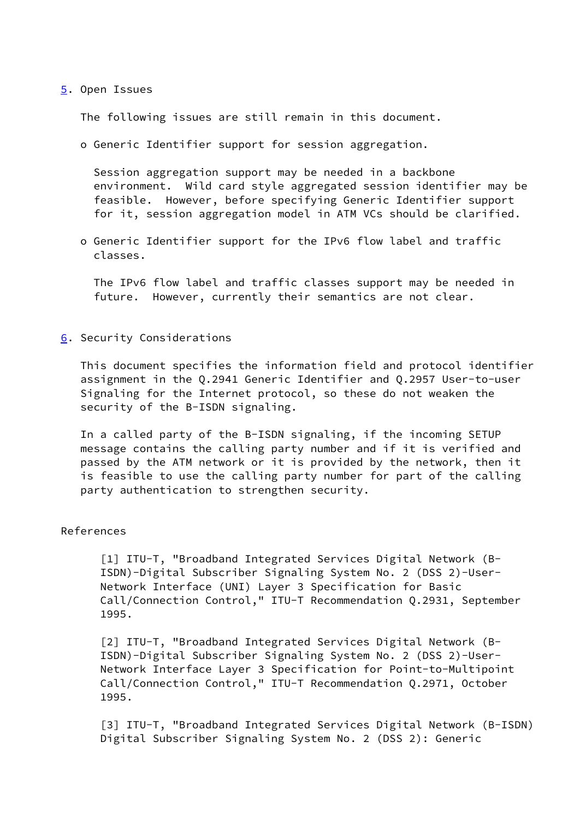#### <span id="page-25-0"></span>[5](#page-25-0). Open Issues

The following issues are still remain in this document.

o Generic Identifier support for session aggregation.

 Session aggregation support may be needed in a backbone environment. Wild card style aggregated session identifier may be feasible. However, before specifying Generic Identifier support for it, session aggregation model in ATM VCs should be clarified.

 o Generic Identifier support for the IPv6 flow label and traffic classes.

 The IPv6 flow label and traffic classes support may be needed in future. However, currently their semantics are not clear.

<span id="page-25-1"></span>[6](#page-25-1). Security Considerations

 This document specifies the information field and protocol identifier assignment in the Q.2941 Generic Identifier and Q.2957 User-to-user Signaling for the Internet protocol, so these do not weaken the security of the B-ISDN signaling.

 In a called party of the B-ISDN signaling, if the incoming SETUP message contains the calling party number and if it is verified and passed by the ATM network or it is provided by the network, then it is feasible to use the calling party number for part of the calling party authentication to strengthen security.

## References

 [1] ITU-T, "Broadband Integrated Services Digital Network (B- ISDN)-Digital Subscriber Signaling System No. 2 (DSS 2)-User- Network Interface (UNI) Layer 3 Specification for Basic Call/Connection Control," ITU-T Recommendation Q.2931, September 1995.

 [2] ITU-T, "Broadband Integrated Services Digital Network (B- ISDN)-Digital Subscriber Signaling System No. 2 (DSS 2)-User- Network Interface Layer 3 Specification for Point-to-Multipoint Call/Connection Control," ITU-T Recommendation Q.2971, October 1995.

 [3] ITU-T, "Broadband Integrated Services Digital Network (B-ISDN) Digital Subscriber Signaling System No. 2 (DSS 2): Generic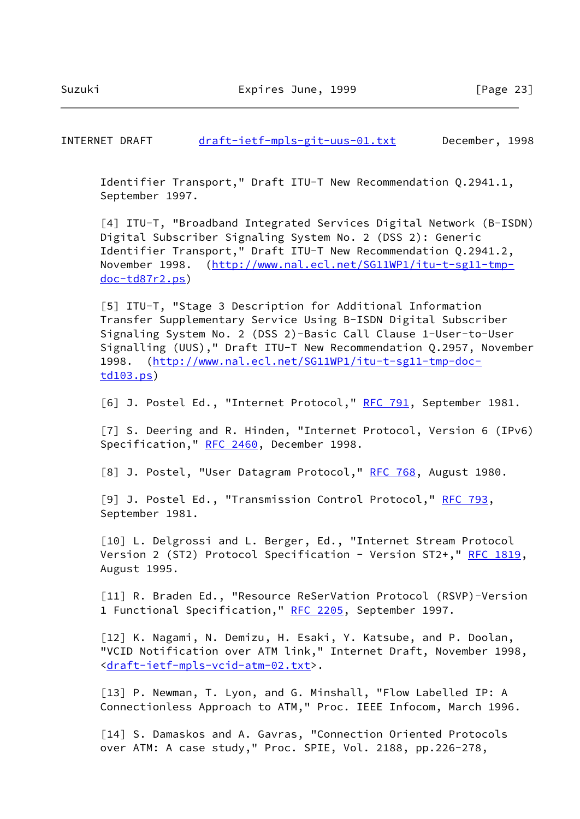INTERNET DRAFT [draft-ietf-mpls-git-uus-01.txt](https://datatracker.ietf.org/doc/pdf/draft-ietf-mpls-git-uus-01.txt) December, 1998

 Identifier Transport," Draft ITU-T New Recommendation Q.2941.1, September 1997.

<span id="page-26-0"></span> [4] ITU-T, "Broadband Integrated Services Digital Network (B-ISDN) Digital Subscriber Signaling System No. 2 (DSS 2): Generic Identifier Transport," Draft ITU-T New Recommendation Q.2941.2, November 1998. ([http://www.nal.ecl.net/SG11WP1/itu-t-sg11-tmp](http://www.nal.ecl.net/SG11WP1/itu-t-sg11-tmp-doc-td87r2.ps) [doc-td87r2.ps\)](http://www.nal.ecl.net/SG11WP1/itu-t-sg11-tmp-doc-td87r2.ps)

<span id="page-26-1"></span> [5] ITU-T, "Stage 3 Description for Additional Information Transfer Supplementary Service Using B-ISDN Digital Subscriber Signaling System No. 2 (DSS 2)-Basic Call Clause 1-User-to-User Signalling (UUS)," Draft ITU-T New Recommendation Q.2957, November 1998. ([http://www.nal.ecl.net/SG11WP1/itu-t-sg11-tmp-doc](http://www.nal.ecl.net/SG11WP1/itu-t-sg11-tmp-doc-td103.ps) [td103.ps\)](http://www.nal.ecl.net/SG11WP1/itu-t-sg11-tmp-doc-td103.ps)

<span id="page-26-2"></span>[6] J. Postel Ed., "Internet Protocol," [RFC 791](https://datatracker.ietf.org/doc/pdf/rfc791), September 1981.

<span id="page-26-6"></span> [7] S. Deering and R. Hinden, "Internet Protocol, Version 6 (IPv6) Specification," [RFC 2460,](https://datatracker.ietf.org/doc/pdf/rfc2460) December 1998.

<span id="page-26-3"></span>[8] J. Postel, "User Datagram Protocol," [RFC 768,](https://datatracker.ietf.org/doc/pdf/rfc768) August 1980.

<span id="page-26-4"></span> [9] J. Postel Ed., "Transmission Control Protocol," [RFC 793](https://datatracker.ietf.org/doc/pdf/rfc793), September 1981.

<span id="page-26-5"></span>[10] L. Delgrossi and L. Berger, Ed., "Internet Stream Protocol Version 2 (ST2) Protocol Specification - Version ST2+," [RFC 1819,](https://datatracker.ietf.org/doc/pdf/rfc1819) August 1995.

<span id="page-26-8"></span> [11] R. Braden Ed., "Resource ReSerVation Protocol (RSVP)-Version 1 Functional Specification," [RFC 2205](https://datatracker.ietf.org/doc/pdf/rfc2205), September 1997.

<span id="page-26-7"></span> [12] K. Nagami, N. Demizu, H. Esaki, Y. Katsube, and P. Doolan, "VCID Notification over ATM link," Internet Draft, November 1998, <[draft-ietf-mpls-vcid-atm-02.txt>](https://datatracker.ietf.org/doc/pdf/draft-ietf-mpls-vcid-atm-02.txt).

 [13] P. Newman, T. Lyon, and G. Minshall, "Flow Labelled IP: A Connectionless Approach to ATM," Proc. IEEE Infocom, March 1996.

 [14] S. Damaskos and A. Gavras, "Connection Oriented Protocols over ATM: A case study," Proc. SPIE, Vol. 2188, pp.226-278,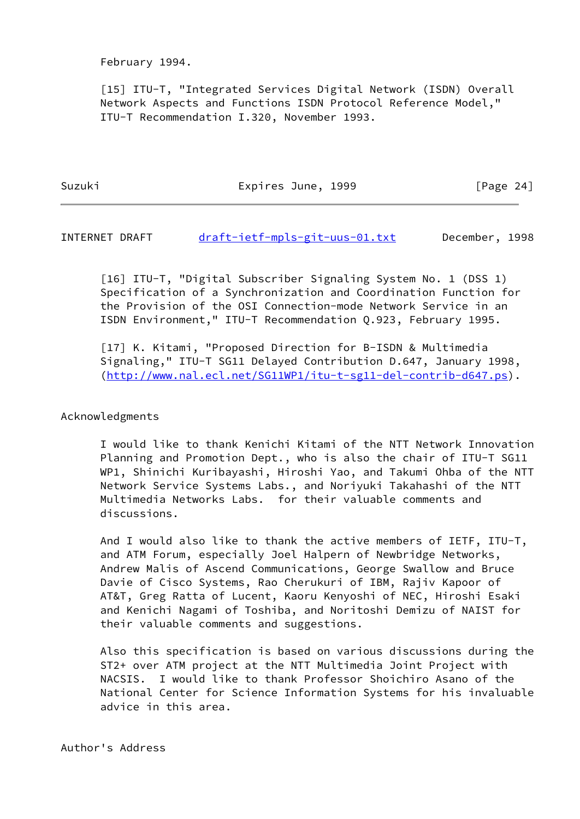February 1994.

 [15] ITU-T, "Integrated Services Digital Network (ISDN) Overall Network Aspects and Functions ISDN Protocol Reference Model," ITU-T Recommendation I.320, November 1993.

Suzuki **Expires June, 1999** [Page 24]

INTERNET DRAFT [draft-ietf-mpls-git-uus-01.txt](https://datatracker.ietf.org/doc/pdf/draft-ietf-mpls-git-uus-01.txt) December, 1998

 [16] ITU-T, "Digital Subscriber Signaling System No. 1 (DSS 1) Specification of a Synchronization and Coordination Function for the Provision of the OSI Connection-mode Network Service in an ISDN Environment," ITU-T Recommendation Q.923, February 1995.

 [17] K. Kitami, "Proposed Direction for B-ISDN & Multimedia Signaling," ITU-T SG11 Delayed Contribution D.647, January 1998, ([http://www.nal.ecl.net/SG11WP1/itu-t-sg11-del-contrib-d647.ps\)](http://www.nal.ecl.net/SG11WP1/itu-t-sg11-del-contrib-d647.ps).

## Acknowledgments

 I would like to thank Kenichi Kitami of the NTT Network Innovation Planning and Promotion Dept., who is also the chair of ITU-T SG11 WP1, Shinichi Kuribayashi, Hiroshi Yao, and Takumi Ohba of the NTT Network Service Systems Labs., and Noriyuki Takahashi of the NTT Multimedia Networks Labs. for their valuable comments and discussions.

 And I would also like to thank the active members of IETF, ITU-T, and ATM Forum, especially Joel Halpern of Newbridge Networks, Andrew Malis of Ascend Communications, George Swallow and Bruce Davie of Cisco Systems, Rao Cherukuri of IBM, Rajiv Kapoor of AT&T, Greg Ratta of Lucent, Kaoru Kenyoshi of NEC, Hiroshi Esaki and Kenichi Nagami of Toshiba, and Noritoshi Demizu of NAIST for their valuable comments and suggestions.

 Also this specification is based on various discussions during the ST2+ over ATM project at the NTT Multimedia Joint Project with NACSIS. I would like to thank Professor Shoichiro Asano of the National Center for Science Information Systems for his invaluable advice in this area.

Author's Address